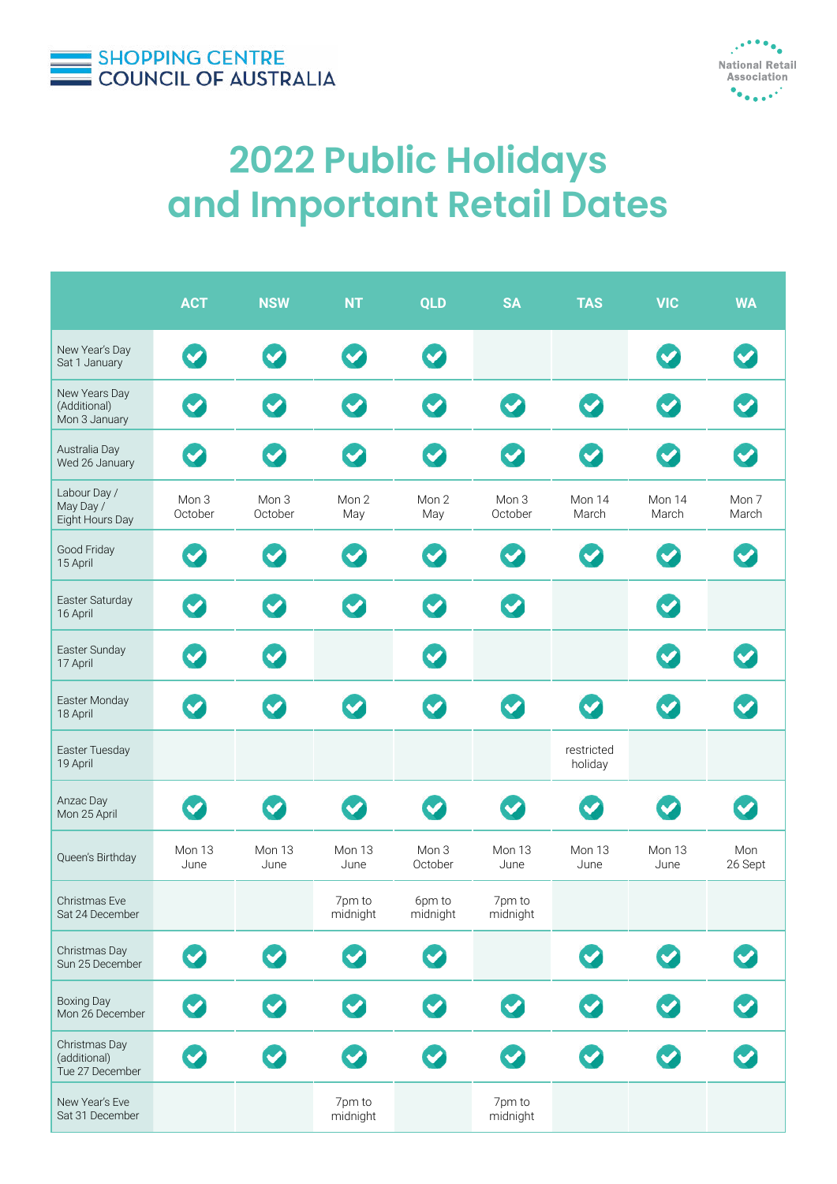



## **2022 Public Holidays and Important Retail Dates**

|                                                  | <b>ACT</b>           | <b>NSW</b>                   | <b>NT</b>                    | <b>QLD</b>                | <b>SA</b>            | <b>TAS</b>            | <b>VIC</b>                | <b>WA</b>      |
|--------------------------------------------------|----------------------|------------------------------|------------------------------|---------------------------|----------------------|-----------------------|---------------------------|----------------|
| New Year's Day<br>Sat 1 January                  | Ø                    | $\boldsymbol{\triangledown}$ | Ø                            | Ø                         |                      |                       | $\blacktriangledown$      | $\bullet$      |
| New Years Day<br>(Additional)<br>Mon 3 January   | ✔                    | $\blacktriangledown$         | Ø                            | Ø                         | Ø                    | Ø                     | Ø                         |                |
| Australia Day<br>Wed 26 January                  | Ø                    | $\boldsymbol{\heartsuit}$    | Ø                            | Ø                         | Ø                    | $\bullet$             | $\boldsymbol{\heartsuit}$ |                |
| Labour Day /<br>May Day /<br>Eight Hours Day     | Mon 3<br>October     | Mon 3<br>October             | Mon 2<br>May                 | Mon 2<br>May              | Mon 3<br>October     | Mon 14<br>March       | Mon 14<br>March           | Mon 7<br>March |
| Good Friday<br>15 April                          | ✔                    | $\blacktriangledown$         | $\boldsymbol{\triangledown}$ | $\boldsymbol{\heartsuit}$ | Ø                    | $\blacktriangledown$  | Ø                         |                |
| Easter Saturday<br>16 April                      | $\blacktriangledown$ | $\boldsymbol{\heartsuit}$    | $\blacktriangledown$         | Ø                         | $\blacktriangledown$ |                       | $\blacktriangledown$      |                |
| Easter Sunday<br>17 April                        | ✔                    | $\boldsymbol{\triangledown}$ |                              | 2                         |                      |                       | $\boldsymbol{\nabla}$     |                |
| Easter Monday<br>18 April                        | V                    | Ø                            | $\bullet$                    | Ø                         | Ø                    | $\boldsymbol{\nabla}$ | $\boldsymbol{\nabla}$     |                |
| Easter Tuesday<br>19 April                       |                      |                              |                              |                           |                      | restricted<br>holiday |                           |                |
| Anzac Day<br>Mon 25 April                        | $\blacktriangledown$ | ✔                            | $\blacktriangledown$         | $\blacktriangledown$      | $\checkmark$         | $\checkmark$          | $\checkmark$              |                |
| Queen's Birthday                                 | Mon 13<br>June       | Mon 13<br>June               | Mon 13<br>June               | Mon 3<br>October          | Mon 13<br>June       | Mon 13<br>June        | Mon 13<br>June            | Mon<br>26 Sept |
| Christmas Eve<br>Sat 24 December                 |                      |                              | 7pm to<br>midnight           | 6pm to<br>midnight        | 7pm to<br>midnight   |                       |                           |                |
| Christmas Day<br>Sun 25 December                 |                      |                              |                              |                           |                      |                       |                           |                |
| <b>Boxing Day</b><br>Mon 26 December             |                      |                              |                              |                           |                      |                       |                           |                |
| Christmas Day<br>(additional)<br>Tue 27 December |                      |                              |                              |                           |                      |                       |                           |                |
| New Year's Eve<br>Sat 31 December                |                      |                              | 7pm to<br>midnight           |                           | 7pm to<br>midnight   |                       |                           |                |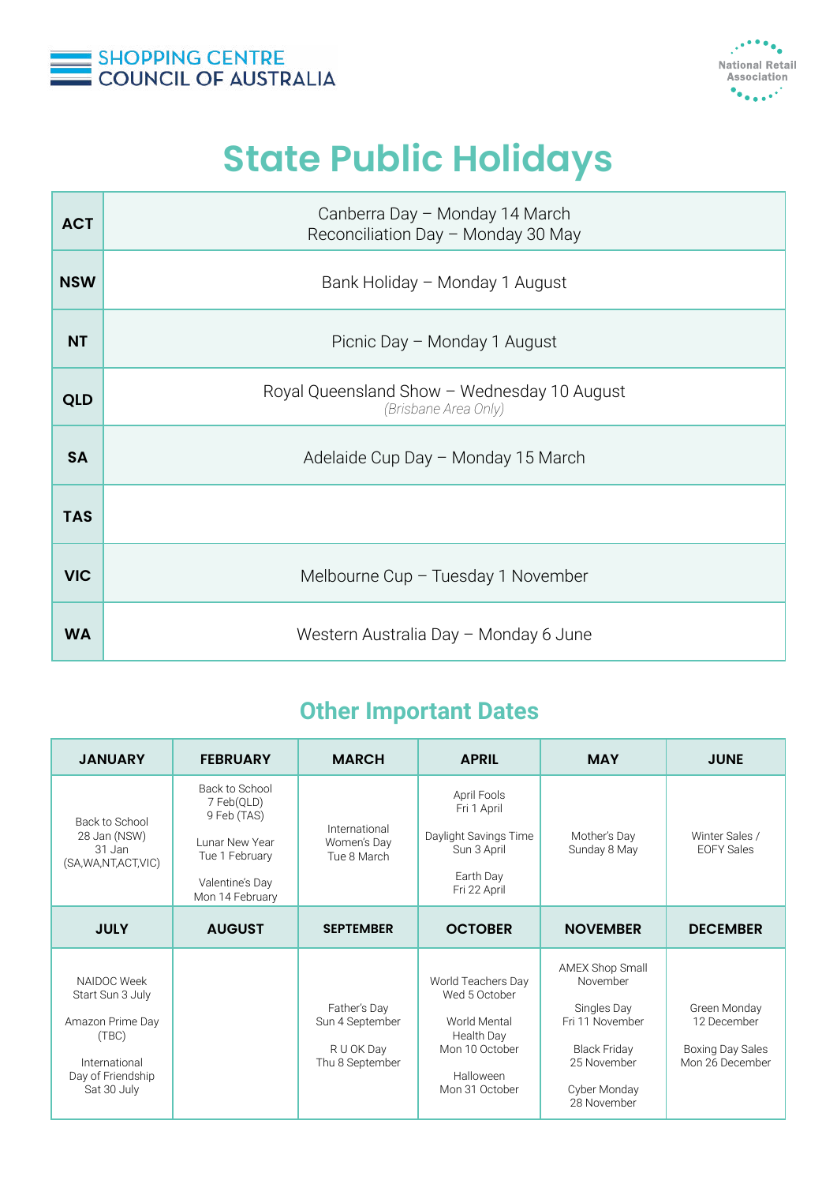



## **State Public Holidays**

| <b>ACT</b> | Canberra Day - Monday 14 March<br>Reconciliation Day - Monday 30 May |
|------------|----------------------------------------------------------------------|
| <b>NSW</b> | Bank Holiday - Monday 1 August                                       |
| <b>NT</b>  | Picnic Day - Monday 1 August                                         |
| <b>QLD</b> | Royal Queensland Show - Wednesday 10 August<br>(Brisbane Area Only)  |
| <b>SA</b>  | Adelaide Cup Day - Monday 15 March                                   |
| <b>TAS</b> |                                                                      |
| <b>VIC</b> | Melbourne Cup - Tuesday 1 November                                   |
| <b>WA</b>  | Western Australia Day - Monday 6 June                                |

## **Other Important Dates**

| <b>JANUARY</b>                                                                                                    | <b>FEBRUARY</b>                                                                                                       | <b>MARCH</b>                                                     | <b>APRIL</b>                                                                                                       | <b>MAY</b>                                                                                                                                | <b>JUNE</b>                                                        |
|-------------------------------------------------------------------------------------------------------------------|-----------------------------------------------------------------------------------------------------------------------|------------------------------------------------------------------|--------------------------------------------------------------------------------------------------------------------|-------------------------------------------------------------------------------------------------------------------------------------------|--------------------------------------------------------------------|
| Back to School<br>28 Jan (NSW)<br>31 Jan<br>(SA, WA, NT, ACT, VIC)                                                | Back to School<br>7 Feb(QLD)<br>9 Feb (TAS)<br>Lunar New Year<br>Tue 1 February<br>Valentine's Day<br>Mon 14 February | International<br>Women's Day<br>Tue 8 March                      | April Fools<br>Fri 1 April<br>Daylight Savings Time<br>Sun 3 April<br>Earth Day<br>Fri 22 April                    | Mother's Day<br>Sunday 8 May                                                                                                              | Winter Sales /<br><b>EOFY Sales</b>                                |
| <b>JULY</b>                                                                                                       | <b>AUGUST</b>                                                                                                         | <b>SEPTEMBER</b>                                                 | <b>OCTOBER</b>                                                                                                     | <b>NOVEMBER</b>                                                                                                                           | <b>DECEMBER</b>                                                    |
| NAIDOC Week<br>Start Sun 3 July<br>Amazon Prime Day<br>(TBC)<br>International<br>Day of Friendship<br>Sat 30 July |                                                                                                                       | Father's Day<br>Sun 4 September<br>R U OK Day<br>Thu 8 September | World Teachers Day<br>Wed 5 October<br>World Mental<br>Health Day<br>Mon 10 October<br>Halloween<br>Mon 31 October | <b>AMEX Shop Small</b><br>November<br>Singles Day<br>Fri 11 November<br><b>Black Friday</b><br>25 November<br>Cyber Monday<br>28 November | Green Monday<br>12 December<br>Boxing Day Sales<br>Mon 26 December |